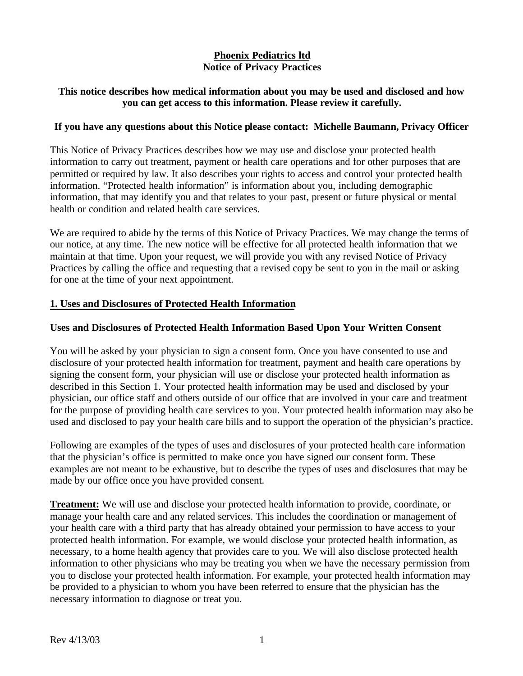## **Phoenix Pediatrics ltd Notice of Privacy Practices**

## **This notice describes how medical information about you may be used and disclosed and how you can get access to this information. Please review it carefully.**

## **If you have any questions about this Notice please contact: Michelle Baumann, Privacy Officer**

This Notice of Privacy Practices describes how we may use and disclose your protected health information to carry out treatment, payment or health care operations and for other purposes that are permitted or required by law. It also describes your rights to access and control your protected health information. "Protected health information" is information about you, including demographic information, that may identify you and that relates to your past, present or future physical or mental health or condition and related health care services.

We are required to abide by the terms of this Notice of Privacy Practices. We may change the terms of our notice, at any time. The new notice will be effective for all protected health information that we maintain at that time. Upon your request, we will provide you with any revised Notice of Privacy Practices by calling the office and requesting that a revised copy be sent to you in the mail or asking for one at the time of your next appointment.

## **1. Uses and Disclosures of Protected Health Information**

## **Uses and Disclosures of Protected Health Information Based Upon Your Written Consent**

You will be asked by your physician to sign a consent form. Once you have consented to use and disclosure of your protected health information for treatment, payment and health care operations by signing the consent form, your physician will use or disclose your protected health information as described in this Section 1. Your protected health information may be used and disclosed by your physician, our office staff and others outside of our office that are involved in your care and treatment for the purpose of providing health care services to you. Your protected health information may also be used and disclosed to pay your health care bills and to support the operation of the physician's practice.

Following are examples of the types of uses and disclosures of your protected health care information that the physician's office is permitted to make once you have signed our consent form. These examples are not meant to be exhaustive, but to describe the types of uses and disclosures that may be made by our office once you have provided consent.

**Treatment:** We will use and disclose your protected health information to provide, coordinate, or manage your health care and any related services. This includes the coordination or management of your health care with a third party that has already obtained your permission to have access to your protected health information. For example, we would disclose your protected health information, as necessary, to a home health agency that provides care to you. We will also disclose protected health information to other physicians who may be treating you when we have the necessary permission from you to disclose your protected health information. For example, your protected health information may be provided to a physician to whom you have been referred to ensure that the physician has the necessary information to diagnose or treat you.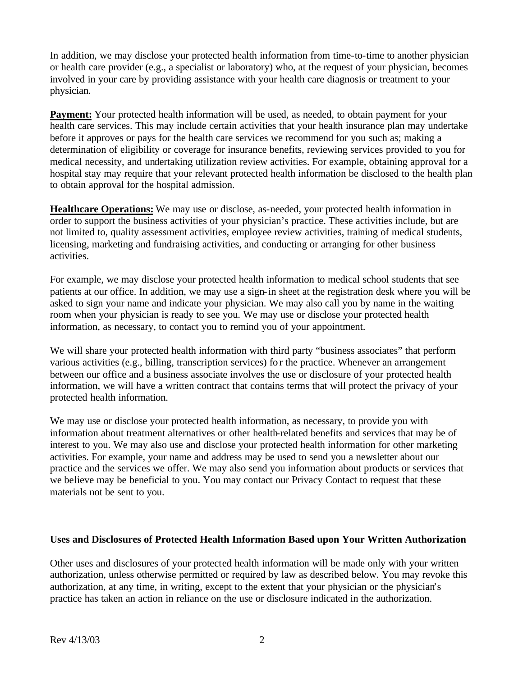In addition, we may disclose your protected health information from time-to-time to another physician or health care provider (e.g., a specialist or laboratory) who, at the request of your physician, becomes involved in your care by providing assistance with your health care diagnosis or treatment to your physician.

**Payment:** Your protected health information will be used, as needed, to obtain payment for your health care services. This may include certain activities that your health insurance plan may undertake before it approves or pays for the health care services we recommend for you such as; making a determination of eligibility or coverage for insurance benefits, reviewing services provided to you for medical necessity, and undertaking utilization review activities. For example, obtaining approval for a hospital stay may require that your relevant protected health information be disclosed to the health plan to obtain approval for the hospital admission.

**Healthcare Operations:** We may use or disclose, as-needed, your protected health information in order to support the business activities of your physician's practice. These activities include, but are not limited to, quality assessment activities, employee review activities, training of medical students, licensing, marketing and fundraising activities, and conducting or arranging for other business activities.

For example, we may disclose your protected health information to medical school students that see patients at our office. In addition, we may use a sign-in sheet at the registration desk where you will be asked to sign your name and indicate your physician. We may also call you by name in the waiting room when your physician is ready to see you. We may use or disclose your protected health information, as necessary, to contact you to remind you of your appointment.

We will share your protected health information with third party "business associates" that perform various activities (e.g., billing, transcription services) for the practice. Whenever an arrangement between our office and a business associate involves the use or disclosure of your protected health information, we will have a written contract that contains terms that will protect the privacy of your protected health information.

We may use or disclose your protected health information, as necessary, to provide you with information about treatment alternatives or other health-related benefits and services that may be of interest to you. We may also use and disclose your protected health information for other marketing activities. For example, your name and address may be used to send you a newsletter about our practice and the services we offer. We may also send you information about products or services that we believe may be beneficial to you. You may contact our Privacy Contact to request that these materials not be sent to you.

## **Uses and Disclosures of Protected Health Information Based upon Your Written Authorization**

Other uses and disclosures of your protected health information will be made only with your written authorization, unless otherwise permitted or required by law as described below. You may revoke this authorization, at any time, in writing, except to the extent that your physician or the physician's practice has taken an action in reliance on the use or disclosure indicated in the authorization.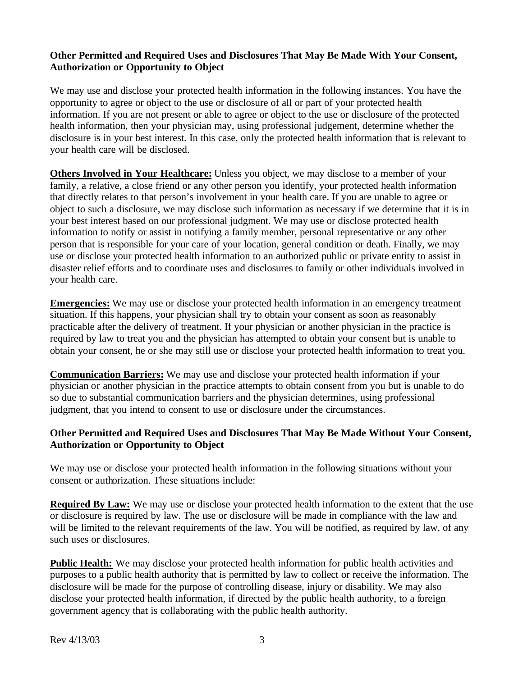## **Other Permitted and Required Uses and Disclosures That May Be Made With Your Consent, Authorization or Opportunity to Object**

We may use and disclose your protected health information in the following instances. You have the opportunity to agree or object to the use or disclosure of all or part of your protected health information. If you are not present or able to agree or object to the use or disclosure of the protected health information, then your physician may, using professional judgement, determine whether the disclosure is in your best interest. In this case, only the protected health information that is relevant to your health care will be disclosed.

**Others Involved in Your Healthcare:** Unless you object, we may disclose to a member of your family, a relative, a close friend or any other person you identify, your protected health information that directly relates to that person's involvement in your health care. If you are unable to agree or object to such a disclosure, we may disclose such information as necessary if we determine that it is in your best interest based on our professional judgment. We may use or disclose protected health information to notify or assist in notifying a family member, personal representative or any other person that is responsible for your care of your location, general condition or death. Finally, we may use or disclose your protected health information to an authorized public or private entity to assist in disaster relief efforts and to coordinate uses and disclosures to family or other individuals involved in your health care.

**Emergencies:** We may use or disclose your protected health information in an emergency treatment situation. If this happens, your physician shall try to obtain your consent as soon as reasonably practicable after the delivery of treatment. If your physician or another physician in the practice is required by law to treat you and the physician has attempted to obtain your consent but is unable to obtain your consent, he or she may still use or disclose your protected health information to treat you.

**Communication Barriers:** We may use and disclose your protected health information if your physician or another physician in the practice attempts to obtain consent from you but is unable to do so due to substantial communication barriers and the physician determines, using professional judgment, that you intend to consent to use or disclosure under the circumstances.

## **Other Permitted and Required Uses and Disclosures That May Be Made Without Your Consent, Authorization or Opportunity to Object**

We may use or disclose your protected health information in the following situations without your consent or authorization. These situations include:

**Required By Law:** We may use or disclose your protected health information to the extent that the use or disclosure is required by law. The use or disclosure will be made in compliance with the law and will be limited to the relevant requirements of the law. You will be notified, as required by law, of any such uses or disclosures.

**Public Health:** We may disclose your protected health information for public health activities and purposes to a public health authority that is permitted by law to collect or receive the information. The disclosure will be made for the purpose of controlling disease, injury or disability. We may also disclose your protected health information, if directed by the public health authority, to a foreign government agency that is collaborating with the public health authority.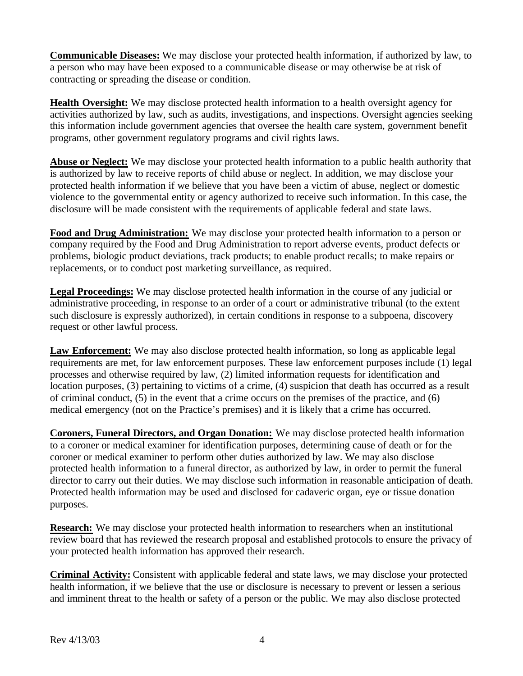**Communicable Diseases:** We may disclose your protected health information, if authorized by law, to a person who may have been exposed to a communicable disease or may otherwise be at risk of contracting or spreading the disease or condition.

**Health Oversight:** We may disclose protected health information to a health oversight agency for activities authorized by law, such as audits, investigations, and inspections. Oversight agencies seeking this information include government agencies that oversee the health care system, government benefit programs, other government regulatory programs and civil rights laws.

**Abuse or Neglect:** We may disclose your protected health information to a public health authority that is authorized by law to receive reports of child abuse or neglect. In addition, we may disclose your protected health information if we believe that you have been a victim of abuse, neglect or domestic violence to the governmental entity or agency authorized to receive such information. In this case, the disclosure will be made consistent with the requirements of applicable federal and state laws.

**Food and Drug Administration:** We may disclose your protected health information to a person or company required by the Food and Drug Administration to report adverse events, product defects or problems, biologic product deviations, track products; to enable product recalls; to make repairs or replacements, or to conduct post marketing surveillance, as required.

**Legal Proceedings:** We may disclose protected health information in the course of any judicial or administrative proceeding, in response to an order of a court or administrative tribunal (to the extent such disclosure is expressly authorized), in certain conditions in response to a subpoena, discovery request or other lawful process.

**Law Enforcement:** We may also disclose protected health information, so long as applicable legal requirements are met, for law enforcement purposes. These law enforcement purposes include (1) legal processes and otherwise required by law, (2) limited information requests for identification and location purposes, (3) pertaining to victims of a crime, (4) suspicion that death has occurred as a result of criminal conduct, (5) in the event that a crime occurs on the premises of the practice, and (6) medical emergency (not on the Practice's premises) and it is likely that a crime has occurred.

**Coroners, Funeral Directors, and Organ Donation:** We may disclose protected health information to a coroner or medical examiner for identification purposes, determining cause of death or for the coroner or medical examiner to perform other duties authorized by law. We may also disclose protected health information to a funeral director, as authorized by law, in order to permit the funeral director to carry out their duties. We may disclose such information in reasonable anticipation of death. Protected health information may be used and disclosed for cadaveric organ, eye or tissue donation purposes.

**Research:** We may disclose your protected health information to researchers when an institutional review board that has reviewed the research proposal and established protocols to ensure the privacy of your protected health information has approved their research.

**Criminal Activity:** Consistent with applicable federal and state laws, we may disclose your protected health information, if we believe that the use or disclosure is necessary to prevent or lessen a serious and imminent threat to the health or safety of a person or the public. We may also disclose protected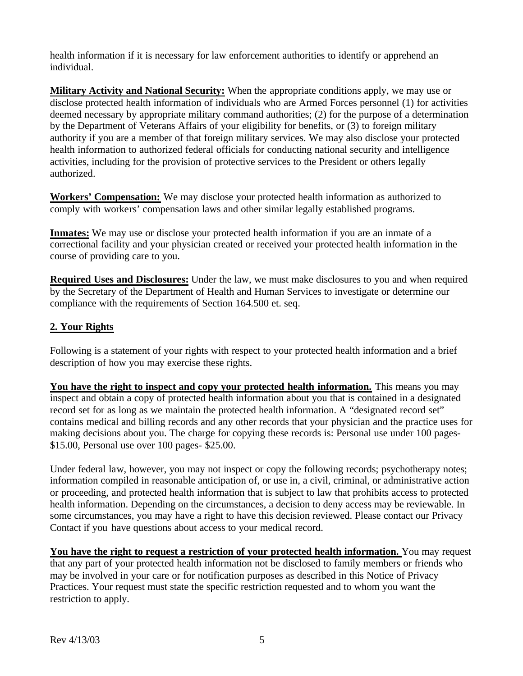health information if it is necessary for law enforcement authorities to identify or apprehend an individual.

**Military Activity and National Security:** When the appropriate conditions apply, we may use or disclose protected health information of individuals who are Armed Forces personnel (1) for activities deemed necessary by appropriate military command authorities; (2) for the purpose of a determination by the Department of Veterans Affairs of your eligibility for benefits, or (3) to foreign military authority if you are a member of that foreign military services. We may also disclose your protected health information to authorized federal officials for conducting national security and intelligence activities, including for the provision of protective services to the President or others legally authorized.

**Workers' Compensation:** We may disclose your protected health information as authorized to comply with workers' compensation laws and other similar legally established programs.

**Inmates:** We may use or disclose your protected health information if you are an inmate of a correctional facility and your physician created or received your protected health information in the course of providing care to you.

**Required Uses and Disclosures:** Under the law, we must make disclosures to you and when required by the Secretary of the Department of Health and Human Services to investigate or determine our compliance with the requirements of Section 164.500 et. seq.

# **2. Your Rights**

Following is a statement of your rights with respect to your protected health information and a brief description of how you may exercise these rights.

**You have the right to inspect and copy your protected health information.** This means you may inspect and obtain a copy of protected health information about you that is contained in a designated record set for as long as we maintain the protected health information. A "designated record set" contains medical and billing records and any other records that your physician and the practice uses for making decisions about you. The charge for copying these records is: Personal use under 100 pages- \$15.00, Personal use over 100 pages- \$25.00.

Under federal law, however, you may not inspect or copy the following records; psychotherapy notes; information compiled in reasonable anticipation of, or use in, a civil, criminal, or administrative action or proceeding, and protected health information that is subject to law that prohibits access to protected health information. Depending on the circumstances, a decision to deny access may be reviewable. In some circumstances, you may have a right to have this decision reviewed. Please contact our Privacy Contact if you have questions about access to your medical record.

**You have the right to request a restriction of your protected health information.** You may request that any part of your protected health information not be disclosed to family members or friends who may be involved in your care or for notification purposes as described in this Notice of Privacy Practices. Your request must state the specific restriction requested and to whom you want the restriction to apply.